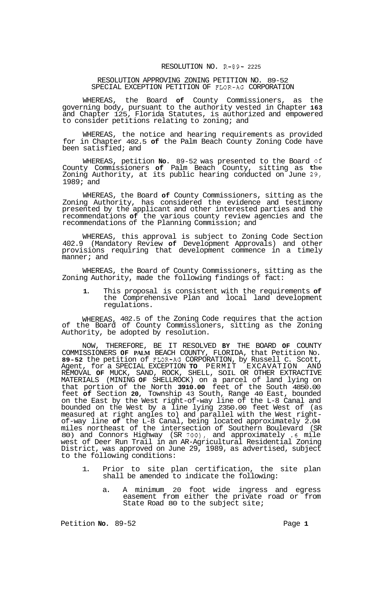## RESOLUTION NO. R-89- 2225

## RESOLUTION APPROVING ZONING PETITION NO. 89-52 SPECIAL EXCEPTION PETITION OF FLOR-AG CORPORATION

WHEREAS, the Board **of** County Commissioners, as the governing body, pursuant to the authority vested in Chapter **163**  and Chapter 125, Florida Statutes, is authorized and empowered to consider petitions relating to zoning; and

WHEREAS, the notice and hearing requirements as provided for in Chapter 402.5 **of** the Palm Beach County Zoning Code have been satisfied; and

WHEREAS, petition **No.** 89-52 was presented to the Board of County Commissioners **of** Palm Beach County, sitting as the Zoning Authority, at its public hearing conducted on June 29, 1989; and

WHEREAS, the Board **of** County Commissioners, sitting as the Zoning Authority, has considered the evidence and testimony presented by the applicant and other interested parties and the recommendations **of** the various county review agencies and the recommendations of the Planning Commission; and

WHEREAS, this approval is subject to Zoning Code Section 402.9 (Mandatory Review **of** Development Approvals) and other provisions requiring that development commence in a timely manner; and

WHEREAS, the Board of County Commissioners, sitting as the Zoning Authority, made the following findings of fact:

**1.** This proposal is consistent with the requirements **of**  the Comprehensive Plan and local land development regulations.

WHEREAS, 402.5 of the Zoning Code requires that the action of the Board of County Commissioners, sitting as the Zoning Authority, be adopted by resolution.

NOW, THEREFORE, BE IT RESOLVED **BY** THE BOARD **OF** COUNTY COMMISSIONERS **OF PALM** BEACH COUNTY, FLORIDA, that Petition No. **89-52** the petition of **FLOR-AG** CORPORATION, by Russell C. Scott, Agent, for a SPECIAL EXCEPTION **TO** PERMIT EXCAVATION AND REMOVAL **OF** MUCK, SAND, ROCK, SHELL, SOIL OR OTHER EXTRACTIVE MATERIALS (MINING **OF** SHELLROCK) on a parcel of land lying on that portion of the North **3910.00** feet of the South 4850.00 feet **of** Section **20,** Township 43 South, Range 40 East, bounded on the East by the West right-of-way line of the L-8 Canal and bounded on the West by a line lying 2350.00 feet West of (as measured at right angles to) and parallel with the West right- of-way line **of** the L-8 Canal, being located approximately 2.04 miles northeast of the intersection of Southern Boulevard (SR 80) and Connors Highway (SR *700),* and approximately *.6* mile west of Deer Run Trail in an AR-Agricultural Residential Zoning District, was approved on June 29, 1989, as advertised, subject to the following conditions:

- 1. Prior to site plan certification, the site plan shall be amended to indicate the following:
	- a. A minimum 20 foot wide ingress and egress easement from either the private road or from State Road 80 to the subject site;

Petition **No.** 89-52 Page 1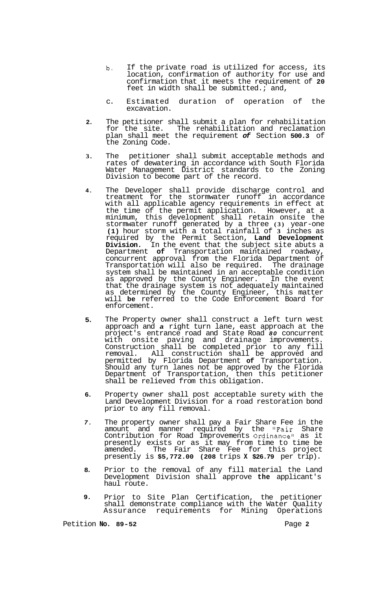- **b.** If the private road is utilized for access, its location, confirmation of authority for use and confirmation that it meets the requirement of **20**  feet in width shall be submitted.; and,
- c. Estimated duration of operation of the excavation.
- **2.**  The petitioner shall submit a plan for rehabilitation for the site. The rehabilitation and reclamation plan shall meet the requirement *of* Section **500.3** of the Zoning Code.
- **3.**  The petitioner shall submit acceptable methods and rates of dewatering in accordance with South Florida Water Management District standards to the Zoning Division to become part of the record.
- **4.**  The Developer shall provide discharge control and treatment for the stormwater runoff in accordance with all applicable agency requirements in effect at the time of the permit application. However, at a minimum, this development shall retain onsite the stormwater runoff generated by a three **(3)** year-one **(1)** hour storm with a total rainfall of **3** inches as required by the Permit Section, **Land Development Division.** In the event that the subject site abuts a Department **of** Transportation maintained roadway, concurrent approval from the Florida Department of Transportation will also be required. The drainage system shall be maintained in an acceptable condition as approved by the County Engineer. In the event that the drainage system is not adequately maintained as determined by the County Engineer, this matter will **be** referred to the Code Enforcement Board for enforcement.
- **5.**  The Property owner shall construct a left turn west approach and *a* right turn lane, east approach at the project's entrance road and State Road *80* concurrent with onsite paving and drainage improvements. Construction shall be completed prior to any fill removal. All construction shall be approved and permitted by Florida Department **of** Transportation. Should any turn lanes not be approved by the Florida Department of Transportation, then this petitioner shall be relieved from this obligation.
- **6.**  Property owner shall post acceptable surety with the Land Development Division for a road restoration bond prior to any fill removal.
- *7.*  The property owner shall pay a Fair Share Fee in the amount and manner required by the "Fair Share Contribution for Road Improvements Ordinance" as it presently exists or as it may from time to time be amended. The Fair Share Fee for this project presently is **\$5,772.00 (208** trips **X \$26.79** per trip).
- **8.**  Prior to the removal of any fill material the Land Development Division shall approve **the** applicant's haul route.
- **9.**  Prior to Site Plan Certification, the petitioner shall demonstrate compliance with the Water Quality Assurance requirements for Mining Operations

Petition **No.** 89-52 **Page 2 Page 2**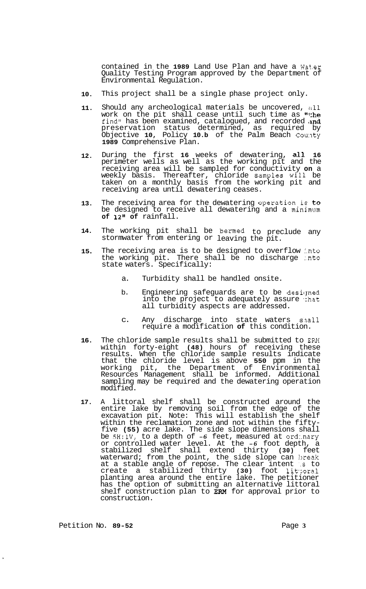contained in the **1989** Land Use Plan and have a Wat.er Quality Testing Program approved by the Department of Environmental Regulation.

- **10.**  This project shall be a single phase project only.
- **11.**  Should any archeological materials be uncovered, all work on the pit shall cease until such time as "the find" has been examined, catalogued, and recorded and preservation status determined, as required by Objective **10,** Policy **10.b** of the Palm Beach Cou:lty **1989** Comprehensive Plan.
- **12.**  During the first **16** weeks of dewatering, all **16**  perimeter wells as well as the working pit and the receiving area will be sampled for conductivity **on** a weekly basis. Thereafter, chloride Samples Will be taken on a monthly basis from the working pit and receiving area until dewatering ceases.
- **13.**  The receiving area for the dewatering operation is to be designed to receive all dewatering and a minimum **of 12" of** rainfall.
- **14.**  The working pit shall be bermed to preclude any stormwater from entering or leaving the pit.
- **15**  The receiving area is to be designed to overflow into the working pit. There shall be no discharge :.nto state waters. Specifically:
	- a. Turbidity shall be handled onsite.
	- b. Engineering safeguards are to be designed into the project to adequately assure that all turbidity aspects are addressed.
	- c. Any discharge into state waters snall require a modification **of** this condition.
- **16.**  The chloride sample results shall be submitted to **ERM**  within forty-eight **(48)** hours of receiving these results. When the chloride sample results indicate that the chloride level is above **550** ppm in the working pit, the Department of Environmental Resources Management shall be informed. Additional sampling may be required and the dewatering operation modified.
- **17.**  A littoral shelf shall be constructed around the entire lake by removing soil from the edge of the excavation pit. Note: This will establish the shelf within the reclamation zone and not within the fifty- five **(55)** acre lake. The side slope dimensions shall be **5H:lV,** to a depth of *-6* feet, measured at ord:.nary or controlled water level. At the *-6* foot depth, a stabilized shelf shall extend thirty **(30)** feet waterward; from the point, the side slope can break at a stable angle of repose. The clear intent **:.s** to create a stabilized thirty **(30)** foot lit\*:oral planting area around the entire lake. The petitioner has the option of submitting an alternative littoral shelf construction plan to **EM** for approval prior to construction.

Petition No. **89-52** Page **3**